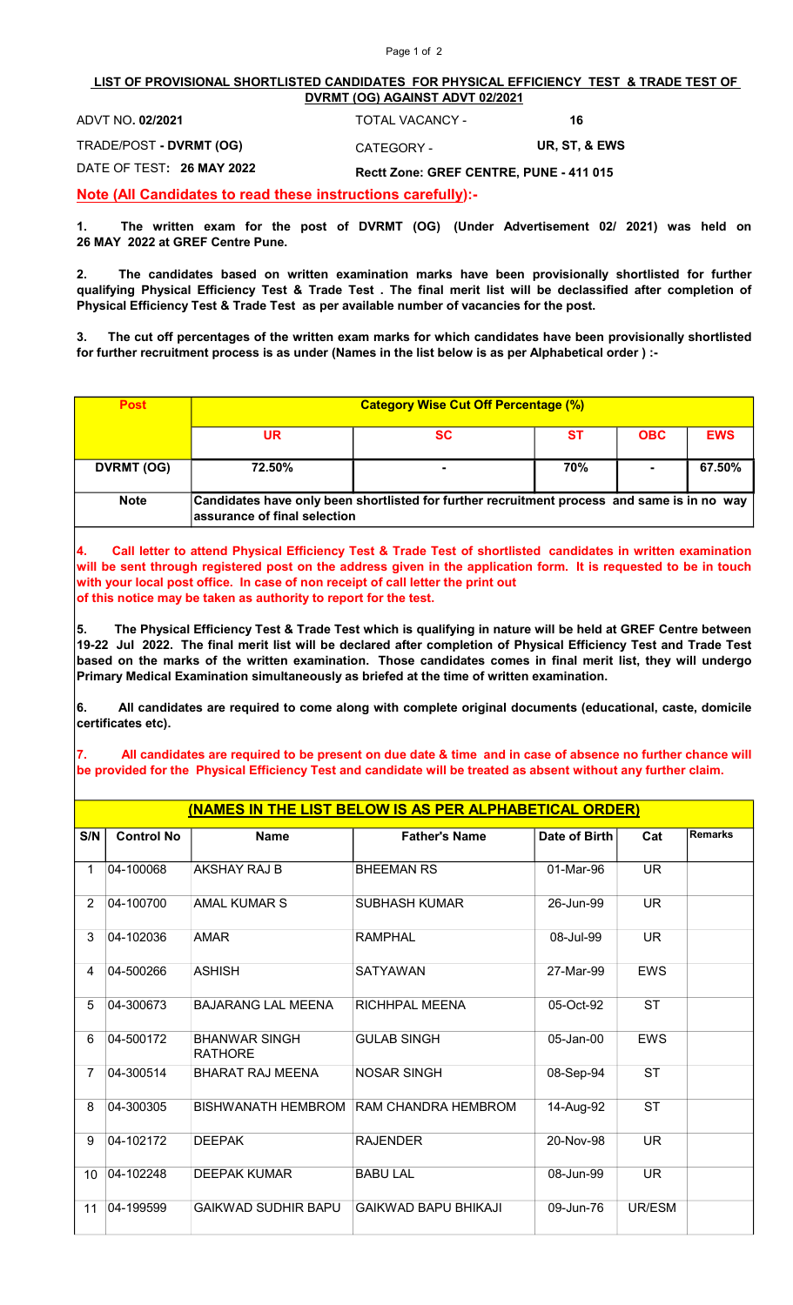## Page 1 of 2

## LIST OF PROVISIONAL SHORTLISTED CANDIDATES FOR PHYSICAL EFFICIENCY TEST & TRADE TEST OF DVRMT (OG) AGAINST ADVT 02/2021

| ADVT NO. 02/2021          | TOTAL VACANCY -                         | 16            |  |
|---------------------------|-----------------------------------------|---------------|--|
| TRADE/POST - DVRMT (OG)   | CATEGORY -                              | UR. ST. & EWS |  |
| DATE OF TEST: 26 MAY 2022 | Rectt Zone: GREF CENTRE, PUNE - 411 015 |               |  |

Note (All Candidates to read these instructions carefully):-

1. The written exam for the post of DVRMT (OG) (Under Advertisement 02/ 2021) was held on 26 MAY 2022 at GREF Centre Pune.

2. The candidates based on written examination marks have been provisionally shortlisted for further qualifying Physical Efficiency Test & Trade Test . The final merit list will be declassified after completion of Physical Efficiency Test & Trade Test as per available number of vacancies for the post.

3. The cut off percentages of the written exam marks for which candidates have been provisionally shortlisted for further recruitment process is as under (Names in the list below is as per Alphabetical order ) :-

| <b>Post</b> | <b>Category Wise Cut Off Percentage (%)</b>                                                                                 |    |     |            |            |
|-------------|-----------------------------------------------------------------------------------------------------------------------------|----|-----|------------|------------|
|             | UR                                                                                                                          | SC | SТ  | <b>OBC</b> | <b>EWS</b> |
| DVRMT (OG)  | 72.50%                                                                                                                      | ٠  | 70% |            | 67.50%     |
| <b>Note</b> | Candidates have only been shortlisted for further recruitment process and same is in no way<br>assurance of final selection |    |     |            |            |

4. Call letter to attend Physical Efficiency Test & Trade Test of shortlisted candidates in written examination will be sent through registered post on the address given in the application form. It is requested to be in touch with your local post office. In case of non receipt of call letter the print out of this notice may be taken as authority to report for the test.

5. The Physical Efficiency Test & Trade Test which is qualifying in nature will be held at GREF Centre between 19-22 Jul 2022. The final merit list will be declared after completion of Physical Efficiency Test and Trade Test based on the marks of the written examination. Those candidates comes in final merit list, they will undergo Primary Medical Examination simultaneously as briefed at the time of written examination.

6. All candidates are required to come along with complete original documents (educational, caste, domicile certificates etc).

7. All candidates are required to be present on due date & time and in case of absence no further chance will be provided for the Physical Efficiency Test and candidate will be treated as absent without any further claim.

| (NAMES IN THE LIST BELOW IS AS PER ALPHABETICAL ORDER) |                   |                                        |                             |               |            |                |
|--------------------------------------------------------|-------------------|----------------------------------------|-----------------------------|---------------|------------|----------------|
| S/N                                                    | <b>Control No</b> | <b>Name</b>                            | <b>Father's Name</b>        | Date of Birth | Cat        | <b>Remarks</b> |
| 1                                                      | 04-100068         | <b>AKSHAY RAJ B</b>                    | <b>BHEEMAN RS</b>           | 01-Mar-96     | <b>UR</b>  |                |
| $\overline{2}$                                         | 04-100700         | AMAL KUMAR S                           | <b>SUBHASH KUMAR</b>        | 26-Jun-99     | <b>UR</b>  |                |
| 3                                                      | 04-102036         | <b>AMAR</b>                            | <b>RAMPHAL</b>              | 08-Jul-99     | <b>UR</b>  |                |
| 4                                                      | 04-500266         | <b>ASHISH</b>                          | <b>SATYAWAN</b>             | 27-Mar-99     | <b>EWS</b> |                |
| 5                                                      | 04-300673         | <b>BAJARANG LAL MEENA</b>              | <b>RICHHPAL MEENA</b>       | 05-Oct-92     | <b>ST</b>  |                |
| 6                                                      | 04-500172         | <b>BHANWAR SINGH</b><br><b>RATHORE</b> | <b>GULAB SINGH</b>          | 05-Jan-00     | <b>EWS</b> |                |
| 7                                                      | 04-300514         | <b>BHARAT RAJ MEENA</b>                | <b>NOSAR SINGH</b>          | 08-Sep-94     | <b>ST</b>  |                |
| 8                                                      | 04-300305         | BISHWANATH HEMBROM                     | RAM CHANDRA HEMBROM         | 14-Aug-92     | <b>ST</b>  |                |
| 9                                                      | 04-102172         | <b>DEEPAK</b>                          | <b>RAJENDER</b>             | 20-Nov-98     | <b>UR</b>  |                |
| 10                                                     | 04-102248         | <b>DEEPAK KUMAR</b>                    | <b>BABU LAL</b>             | 08-Jun-99     | <b>UR</b>  |                |
| 11                                                     | 04-199599         | <b>GAIKWAD SUDHIR BAPU</b>             | <b>GAIKWAD BAPU BHIKAJI</b> | 09-Jun-76     | UR/ESM     |                |